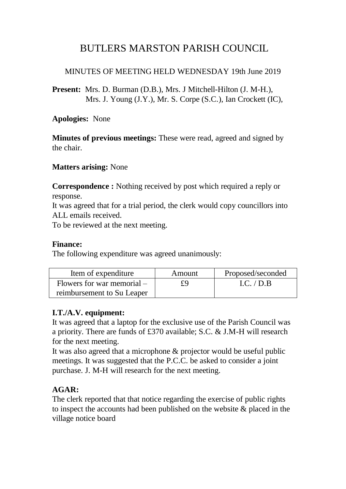# BUTLERS MARSTON PARISH COUNCIL

## MINUTES OF MEETING HELD WEDNESDAY 19th June 2019

**Present:** Mrs. D. Burman (D.B.), Mrs. J Mitchell-Hilton (J. M-H.), Mrs. J. Young (J.Y.), Mr. S. Corpe (S.C.), Ian Crockett (IC),

**Apologies:** None

**Minutes of previous meetings:** These were read, agreed and signed by the chair.

**Matters arising:** None

**Correspondence :** Nothing received by post which required a reply or response.

It was agreed that for a trial period, the clerk would copy councillors into ALL emails received.

To be reviewed at the next meeting.

#### **Finance:**

The following expenditure was agreed unanimously:

| Item of expenditure          | Amount | Proposed/seconded |
|------------------------------|--------|-------------------|
| Flowers for war memorial $-$ | £9     | LC. / D.B.        |
| reimbursement to Su Leaper   |        |                   |

## **I.T./A.V. equipment:**

It was agreed that a laptop for the exclusive use of the Parish Council was a priority. There are funds of £370 available; S.C. & J.M-H will research for the next meeting.

It was also agreed that a microphone & projector would be useful public meetings. It was suggested that the P.C.C. be asked to consider a joint purchase. J. M-H will research for the next meeting.

## **AGAR:**

The clerk reported that that notice regarding the exercise of public rights to inspect the accounts had been published on the website & placed in the village notice board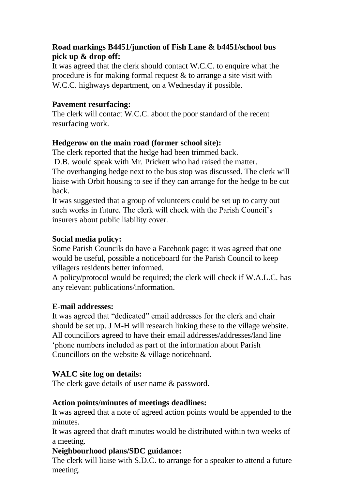## **Road markings B4451/junction of Fish Lane & b4451/school bus pick up & drop off:**

It was agreed that the clerk should contact W.C.C. to enquire what the procedure is for making formal request  $\&$  to arrange a site visit with W.C.C. highways department, on a Wednesday if possible.

#### **Pavement resurfacing:**

The clerk will contact W.C.C. about the poor standard of the recent resurfacing work.

## **Hedgerow on the main road (former school site):**

The clerk reported that the hedge had been trimmed back. D.B. would speak with Mr. Prickett who had raised the matter.

The overhanging hedge next to the bus stop was discussed. The clerk will liaise with Orbit housing to see if they can arrange for the hedge to be cut back.

It was suggested that a group of volunteers could be set up to carry out such works in future. The clerk will check with the Parish Council's insurers about public liability cover.

## **Social media policy:**

Some Parish Councils do have a Facebook page; it was agreed that one would be useful, possible a noticeboard for the Parish Council to keep villagers residents better informed.

A policy/protocol would be required; the clerk will check if W.A.L.C. has any relevant publications/information.

## **E-mail addresses:**

It was agreed that "dedicated" email addresses for the clerk and chair should be set up. J M-H will research linking these to the village website. All councillors agreed to have their email addresses/addresses/land line 'phone numbers included as part of the information about Parish Councillors on the website & village noticeboard.

## **WALC site log on details:**

The clerk gave details of user name & password.

## **Action points/minutes of meetings deadlines:**

It was agreed that a note of agreed action points would be appended to the minutes.

It was agreed that draft minutes would be distributed within two weeks of a meeting.

## **Neighbourhood plans/SDC guidance:**

The clerk will liaise with S.D.C. to arrange for a speaker to attend a future meeting.